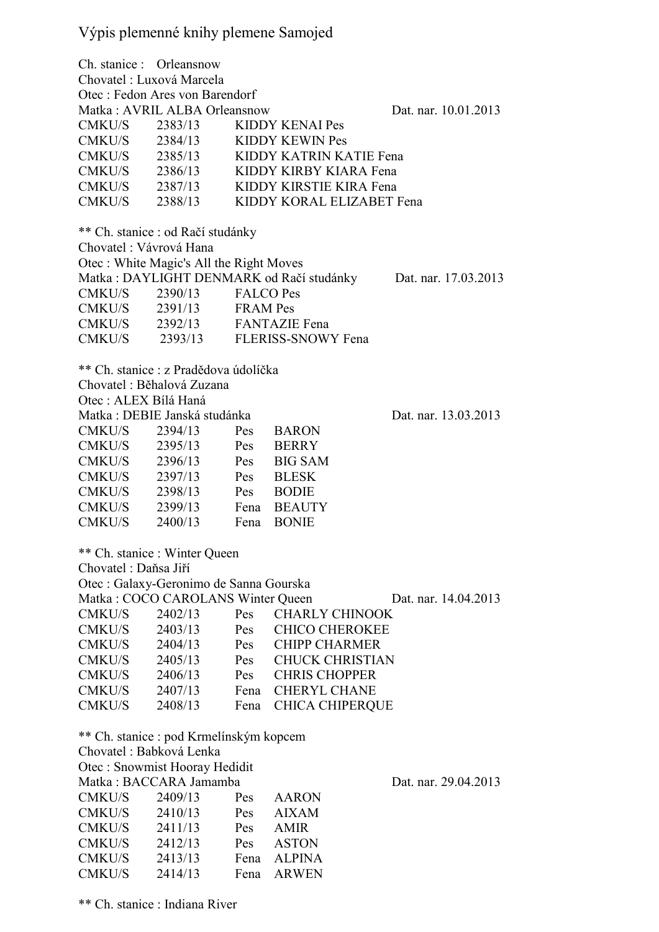## Výpis plemenné knihy plemene Samojed

Ch. stanice : Orleansnow Chovatel : Luxová Marcela Otec : Fedon Ares von Barendorf Matka : AVRIL ALBA Orleansnow Dat. nar. 10.01.2013 CMKU/S 2383/13 KIDDY KENAI Pes CMKU/S 2384/13 KIDDY KEWIN Pes CMKU/S 2385/13 KIDDY KATRIN KATIE Fena CMKU/S 2386/13 KIDDY KIRBY KIARA Fena CMKU/S 2387/13 KIDDY KIRSTIE KIRA Fena CMKU/S 2388/13 KIDDY KORAL ELIZABET Fena \*\* Ch. stanice : od Račí studánky Chovatel : Vávrová Hana Otec : White Magic's All the Right Moves Matka : DAYLIGHT DENMARK od Račí studánky Dat. nar. 17.03.2013 CMKU/S 2390/13 FALCO Pes CMKU/S 2391/13 FRAM Pes CMKU/S 2392/13 FANTAZIE Fena CMKU/S 2393/13 FLERISS-SNOWY Fena \*\* Ch. stanice : z Pradědova údolíčka Chovatel : Běhalová Zuzana Otec : ALEX Bílá Haná Matka : DEBIE Janská studánka Dat. nar. 13.03.2013 CMKU/S 2394/13 Pes BARON CMKU/S 2395/13 Pes BERRY CMKU/S 2396/13 Pes BIG SAM CMKU/S 2397/13 Pes BLESK CMKU/S 2398/13 Pes BODIE CMKU/S 2399/13 Fena BEAUTY CMKU/S 2400/13 Fena BONIE \*\* Ch. stanice : Winter Queen Chovatel : Daňsa Jiří Otec : Galaxy-Geronimo de Sanna Gourska Matka : COCO CAROLANS Winter Queen Dat. nar. 14.04.2013 CMKU/S 2402/13 Pes CHARLY CHINOOK CMKU/S 2403/13 Pes CHICO CHEROKEE CMKU/S 2404/13 Pes CHIPP CHARMER CMKU/S 2405/13 Pes CHUCK CHRISTIAN CMKU/S 2406/13 Pes CHRIS CHOPPER CMKU/S 2407/13 Fena CHERYL CHANE CMKU/S 2408/13 Fena CHICA CHIPERQUE \*\* Ch. stanice : pod Krmelínským kopcem Chovatel : Babková Lenka Otec : Snowmist Hooray Hedidit Matka : BACCARA Jamamba Dat. nar. 29.04.2013 CMKU/S 2409/13 Pes AARON CMKU/S 2410/13 Pes AIXAM CMKU/S 2411/13 Pes AMIR CMKU/S 2412/13 Pes ASTON CMKU/S 2413/13 Fena ALPINA CMKU/S 2414/13 Fena ARWEN

\*\* Ch. stanice : Indiana River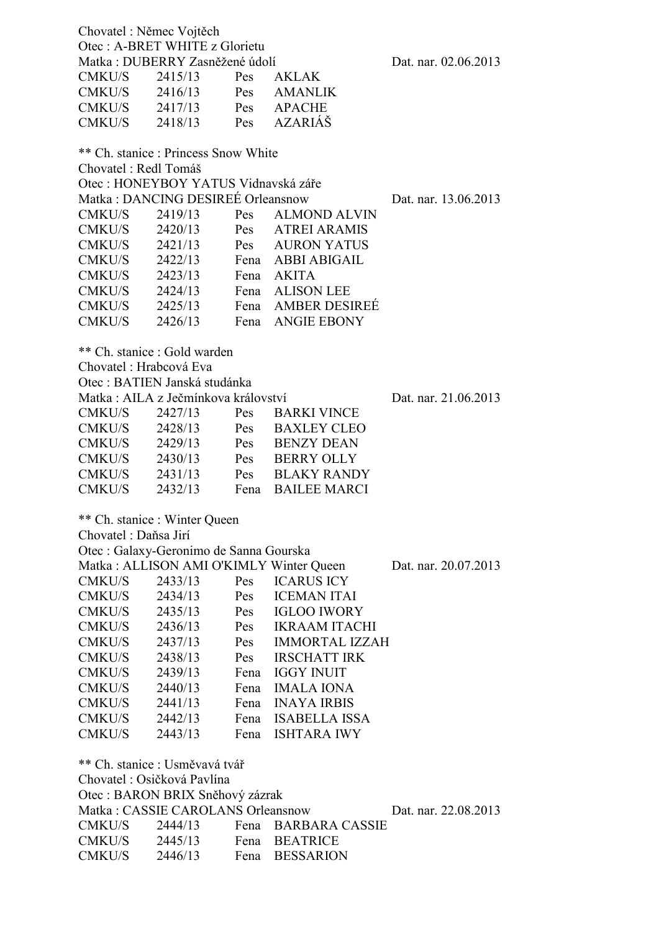| Chovatel : Němec Vojtěch<br>Otec: A-BRET WHITE z Glorietu             |                                          |      |                       |                      |
|-----------------------------------------------------------------------|------------------------------------------|------|-----------------------|----------------------|
| Matka: DUBERRY Zasněžené údolí<br>Dat. nar. 02.06.2013                |                                          |      |                       |                      |
| CMKU/S                                                                | 2415/13                                  | Pes  | <b>AKLAK</b>          |                      |
| CMKU/S                                                                | 2416/13                                  | Pes  | <b>AMANLIK</b>        |                      |
| CMKU/S                                                                | 2417/13                                  | Pes  | <b>APACHE</b>         |                      |
| CMKU/S                                                                | Pes<br>2418/13                           |      | <b>AZARIÁŠ</b>        |                      |
|                                                                       |                                          |      |                       |                      |
| ** Ch. stanice : Princess Snow White                                  |                                          |      |                       |                      |
| Chovatel : Redl Tomáš                                                 |                                          |      |                       |                      |
| Otec: HONEYBOY YATUS Vidnavská záře                                   |                                          |      |                       |                      |
|                                                                       | Matka: DANCING DESIREÉ Orleansnow        |      |                       | Dat. nar. 13.06.2013 |
| CMKU/S                                                                | 2419/13                                  | Pes  | <b>ALMOND ALVIN</b>   |                      |
| CMKU/S                                                                | 2420/13                                  | Pes  | <b>ATREI ARAMIS</b>   |                      |
| CMKU/S                                                                | 2421/13                                  |      | Pes AURON YATUS       |                      |
| CMKU/S                                                                | 2422/13                                  |      | Fena ABBI ABIGAIL     |                      |
| CMKU/S                                                                | 2423/13                                  | Fena | <b>AKITA</b>          |                      |
| CMKU/S                                                                | 2424/13                                  | Fena | <b>ALISON LEE</b>     |                      |
| CMKU/S                                                                | 2425/13                                  |      | Fena AMBER DESIREÉ    |                      |
| CMKU/S                                                                | 2426/13                                  | Fena | <b>ANGIE EBONY</b>    |                      |
|                                                                       |                                          |      |                       |                      |
| ** Ch. stanice : Gold warden                                          |                                          |      |                       |                      |
| Chovatel: Hrabcová Eva                                                |                                          |      |                       |                      |
| Otec: BATIEN Janská studánka                                          |                                          |      |                       |                      |
| Matka: AILA z Ječmínkova království                                   |                                          |      |                       | Dat. nar. 21.06.2013 |
| CMKU/S                                                                | 2427/13                                  | Pes  | <b>BARKI VINCE</b>    |                      |
| CMKU/S                                                                | 2428/13                                  | Pes  | <b>BAXLEY CLEO</b>    |                      |
| CMKU/S 2429/13                                                        |                                          | Pes  | <b>BENZY DEAN</b>     |                      |
| CMKU/S 2430/13                                                        |                                          | Pes  | <b>BERRY OLLY</b>     |                      |
| CMKU/S                                                                | 2431/13                                  | Pes  | <b>BLAKY RANDY</b>    |                      |
| CMKU/S                                                                | 2432/13                                  | Fena | <b>BAILEE MARCI</b>   |                      |
|                                                                       |                                          |      |                       |                      |
| ** Ch. stanice : Winter Queen                                         |                                          |      |                       |                      |
| Chovatel : Daňsa Jirí                                                 |                                          |      |                       |                      |
| Otec : Galaxy-Geronimo de Sanna Gourska                               |                                          |      |                       |                      |
|                                                                       | Matka : ALLISON AMI O'KIMLY Winter Queen |      |                       | Dat. nar. 20.07.2013 |
| CMKU/S                                                                | 2433/13                                  | Pes  | <b>ICARUS ICY</b>     |                      |
| CMKU/S                                                                | 2434/13                                  | Pes  | <b>ICEMAN ITAI</b>    |                      |
| CMKU/S                                                                | 2435/13                                  | Pes  | IGLOO IWORY           |                      |
| CMKU/S                                                                | 2436/13                                  | Pes  | <b>IKRAAM ITACHI</b>  |                      |
| CMKU/S                                                                | 2437/13                                  | Pes  | <b>IMMORTAL IZZAH</b> |                      |
|                                                                       |                                          | Pes  | <b>IRSCHATT IRK</b>   |                      |
| CMKU/S                                                                | 2438/13                                  |      |                       |                      |
| CMKU/S                                                                | 2439/13                                  | Fena | <b>IGGY INUIT</b>     |                      |
| CMKU/S                                                                | 2440/13                                  | Fena | <b>IMALA IONA</b>     |                      |
| CMKU/S                                                                | 2441/13                                  | Fena | <b>INAYA IRBIS</b>    |                      |
| CMKU/S                                                                | 2442/13                                  | Fena | ISABELLA ISSA         |                      |
| CMKU/S                                                                | 2443/13                                  | Fena | <b>ISHTARA IWY</b>    |                      |
| ** Ch. stanice : Usměvavá tvář                                        |                                          |      |                       |                      |
| Chovatel : Osičková Pavlína                                           |                                          |      |                       |                      |
|                                                                       |                                          |      |                       |                      |
| Otec : BARON BRIX Sněhový zázrak<br>Matka: CASSIE CAROLANS Orleansnow |                                          |      |                       |                      |
|                                                                       |                                          |      |                       | Dat. nar. 22.08.2013 |
| CMKU/S                                                                | 2444/13                                  |      | Fena BARBARA CASSIE   |                      |
| CMKU/S                                                                | 2445/13                                  |      | Fena BEATRICE         |                      |
| CMKU/S                                                                | 2446/13                                  | Fena | <b>BESSARION</b>      |                      |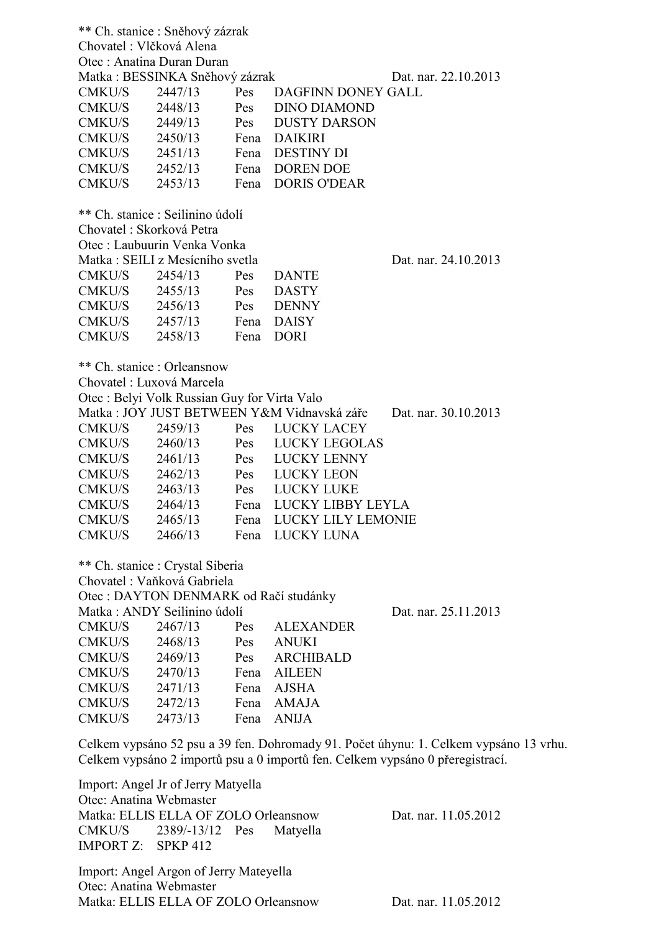\*\* Ch. stanice : Sněhový zázrak Chovatel : Vlčková Alena Otec : Anatina Duran Duran Matka : BESSINKA Sněhový zázrak Dat. nar. 22.10.2013 CMKU/S 2447/13 Pes DAGFINN DONEY GALL CMKU/S 2448/13 Pes DINO DIAMOND CMKU/S 2449/13 Pes DUSTY DARSON CMKU/S 2450/13 Fena DAIKIRI CMKU/S 2451/13 Fena DESTINY DI CMKU/S 2452/13 Fena DOREN DOE CMKU/S 2453/13 Fena DORIS O'DEAR \*\* Ch. stanice : Seilinino údolí Chovatel : Skorková Petra Otec : Laubuurin Venka Vonka Matka : SEILI z Mesícního svetla Dat. nar. 24.10.2013 CMKU/S 2454/13 Pes DANTE CMKU/S 2455/13 Pes DASTY CMKU/S 2456/13 Pes DENNY CMKU/S 2457/13 Fena DAISY CMKU/S 2458/13 Fena DORI \*\* Ch. stanice : Orleansnow Chovatel : Luxová Marcela Otec : Belyi Volk Russian Guy for Virta Valo Matka : JOY JUST BETWEEN Y&M Vidnavská záře Dat. nar. 30.10.2013 CMKU/S 2459/13 Pes LUCKY LACEY CMKU/S 2460/13 Pes LUCKY LEGOLAS CMKU/S 2461/13 Pes LUCKY LENNY CMKU/S 2462/13 Pes LUCKY LEON CMKU/S 2463/13 Pes LUCKY LUKE CMKU/S 2464/13 Fena LUCKY LIBBY LEYLA CMKU/S 2465/13 Fena LUCKY LILY LEMONIE CMKU/S 2466/13 Fena LUCKY LUNA \*\* Ch. stanice : Crystal Siberia Chovatel : Vaňková Gabriela Otec : DAYTON DENMARK od Račí studánky Matka : ANDY Seilinino údolí Dat. nar. 25.11.2013 CMKU/S 2467/13 Pes ALEXANDER CMKU/S 2468/13 Pes ANUKI CMKU/S 2469/13 Pes ARCHIBALD CMKU/S 2470/13 Fena AILEEN CMKU/S 2471/13 Fena AJSHA CMKU/S 2472/13 Fena AMAJA CMKU/S 2473/13 Fena ANIJA

Celkem vypsáno 52 psu a 39 fen. Dohromady 91. Počet úhynu: 1. Celkem vypsáno 13 vrhu. Celkem vypsáno 2 importů psu a 0 importů fen. Celkem vypsáno 0 přeregistrací.

Import: Angel Jr of Jerry Matyella Otec: Anatina Webmaster Matka: ELLIS ELLA OF ZOLO Orleansnow Dat. nar. 11.05.2012 CMKU/S 2389/-13/12 Pes Matyella IMPORT Z: SPKP 412

Import: Angel Argon of Jerry Mateyella Otec: Anatina Webmaster Matka: ELLIS ELLA OF ZOLO Orleansnow Dat. nar. 11.05.2012